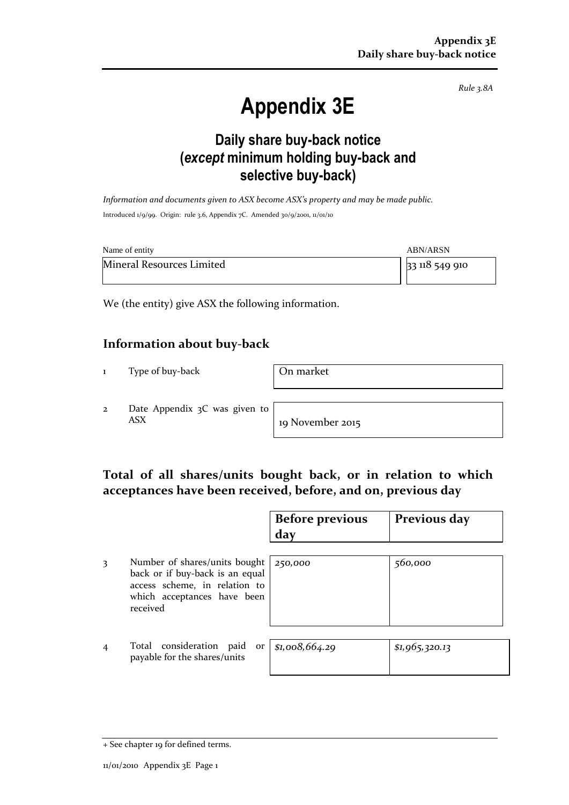*Rule 3.8A*

# **Appendix 3E**

## **Daily share buy-back notice (***except* **minimum holding buy-back and selective buy-back)**

*Information and documents given to ASX become ASX's property and may be made public.* Introduced 1/9/99. Origin: rule 3.6, Appendix 7C. Amended 30/9/2001, 11/01/10

| Name of entity            | <b>ABN/ARSN</b> |
|---------------------------|-----------------|
| Mineral Resources Limited | 33 118 549 910  |

We (the entity) give ASX the following information.

#### **Information about buy-back**

1 Type of buy-back **On market** 

2 Date Appendix 3C was given to ASX 19 November 2015

#### **Total of all shares/units bought back, or in relation to which acceptances have been received, before, and on, previous day**

|   |                                                                                                                                              | <b>Before previous</b><br>day | Previous day   |
|---|----------------------------------------------------------------------------------------------------------------------------------------------|-------------------------------|----------------|
| 3 | Number of shares/units bought<br>back or if buy-back is an equal<br>access scheme, in relation to<br>which acceptances have been<br>received | 250,000                       | 560,000        |
|   | Total consideration<br>paid<br><b>Or</b><br>payable for the shares/units                                                                     | \$1,008,664.29                | \$1,965,320.13 |

<sup>+</sup> See chapter 19 for defined terms.